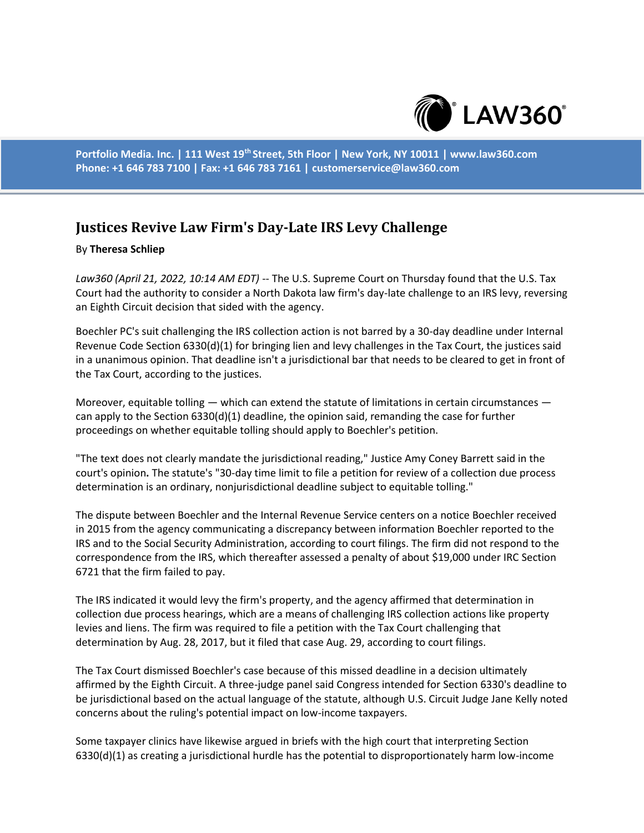

**Portfolio Media. Inc. | 111 West 19th Street, 5th Floor | New York, NY 10011 | www.law360.com Phone: +1 646 783 7100 | Fax: +1 646 783 7161 | customerservice@law360.com**

## **Justices Revive Law Firm's Day-Late IRS Levy Challenge**

## By **Theresa Schliep**

*Law360 (April 21, 2022, 10:14 AM EDT)* -- The U.S. Supreme Court on Thursday found that the U.S. Tax Court had the authority to consider a North Dakota law firm's day-late challenge to an IRS levy, reversing an Eighth Circuit decision that sided with the agency.

Boechler PC's suit challenging the IRS collection action is not barred by a 30-day deadline under Internal Revenue Code Section 6330(d)(1) for bringing lien and levy challenges in the Tax Court, the justices said in a unanimous opinion. That deadline isn't a jurisdictional bar that needs to be cleared to get in front of the Tax Court, according to the justices.

Moreover, equitable tolling  $-$  which can extend the statute of limitations in certain circumstances  $$ can apply to the Section  $6330(d)(1)$  deadline, the opinion said, remanding the case for further proceedings on whether equitable tolling should apply to Boechler's petition.

"The text does not clearly mandate the jurisdictional reading," Justice Amy Coney Barrett said in the court's opinion**.** The statute's "30-day time limit to file a petition for review of a collection due process determination is an ordinary, nonjurisdictional deadline subject to equitable tolling."

The dispute between Boechler and the Internal Revenue Service centers on a notice Boechler received in 2015 from the agency communicating a discrepancy between information Boechler reported to the IRS and to the Social Security Administration, according to court filings. The firm did not respond to the correspondence from the IRS, which thereafter assessed a penalty of about \$19,000 under IRC Section 6721 that the firm failed to pay.

The IRS indicated it would levy the firm's property, and the agency affirmed that determination in collection due process hearings, which are a means of challenging IRS collection actions like property levies and liens. The firm was required to file a petition with the Tax Court challenging that determination by Aug. 28, 2017, but it filed that case Aug. 29, according to court filings.

The Tax Court dismissed Boechler's case because of this missed deadline in a decision ultimately affirmed by the Eighth Circuit. A three-judge panel said Congress intended for Section 6330's deadline to be jurisdictional based on the actual language of the statute, although U.S. Circuit Judge Jane Kelly noted concerns about the ruling's potential impact on low-income taxpayers.

Some taxpayer clinics have likewise argued in briefs with the high court that interpreting Section 6330(d)(1) as creating a jurisdictional hurdle has the potential to disproportionately harm low-income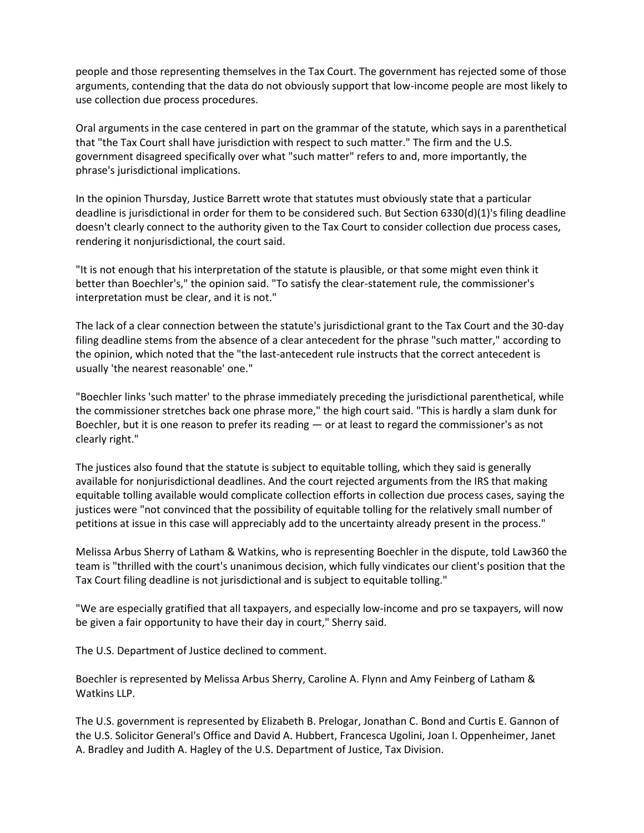people and those representing themselves in the Tax Court. The government has rejected some of those arguments, contending that the data do not obviously support that low-income people are most likely to use collection due process procedures.

Oral arguments in the case centered in part on the grammar of the statute, which says in a parenthetical that "the Tax Court shall have jurisdiction with respect to such matter." The firm and the U.S. government disagreed specifically over what "such matter" refers to and, more importantly, the phrase's jurisdictional implications.

In the opinion Thursday, Justice Barrett wrote that statutes must obviously state that a particular deadline is jurisdictional in order for them to be considered such. But Section 6330(d)(1)'s filing deadline doesn't clearly connect to the authority given to the Tax Court to consider collection due process cases, rendering it nonjurisdictional, the court said.

"It is not enough that his interpretation of the statute is plausible, or that some might even think it better than Boechler's," the opinion said. "To satisfy the clear-statement rule, the commissioner's interpretation must be clear, and it is not."

The lack of a clear connection between the statute's jurisdictional grant to the Tax Court and the 30-day filing deadline stems from the absence of a clear antecedent for the phrase "such matter," according to the opinion, which noted that the "the last-antecedent rule instructs that the correct antecedent is usually 'the nearest reasonable' one."

"Boechler links 'such matter' to the phrase immediately preceding the jurisdictional parenthetical, while the commissioner stretches back one phrase more," the high court said. "This is hardly a slam dunk for Boechler, but it is one reason to prefer its reading — or at least to regard the commissioner's as not clearly right."

The justices also found that the statute is subject to equitable tolling, which they said is generally available for nonjurisdictional deadlines. And the court rejected arguments from the IRS that making equitable tolling available would complicate collection efforts in collection due process cases, saying the justices were "not convinced that the possibility of equitable tolling for the relatively small number of petitions at issue in this case will appreciably add to the uncertainty already present in the process."

Melissa Arbus Sherry of Latham & Watkins, who is representing Boechler in the dispute, told Law360 the team is "thrilled with the court's unanimous decision, which fully vindicates our client's position that the Tax Court filing deadline is not jurisdictional and is subject to equitable tolling."

"We are especially gratified that all taxpayers, and especially low-income and pro se taxpayers, will now be given a fair opportunity to have their day in court," Sherry said.

The U.S. Department of Justice declined to comment.

Boechler is represented by Melissa Arbus Sherry, Caroline A. Flynn and Amy Feinberg of Latham & Watkins LLP.

The U.S. government is represented by Elizabeth B. Prelogar, Jonathan C. Bond and Curtis E. Gannon of the U.S. Solicitor General's Office and David A. Hubbert, Francesca Ugolini, Joan I. Oppenheimer, Janet A. Bradley and Judith A. Hagley of the U.S. Department of Justice, Tax Division.